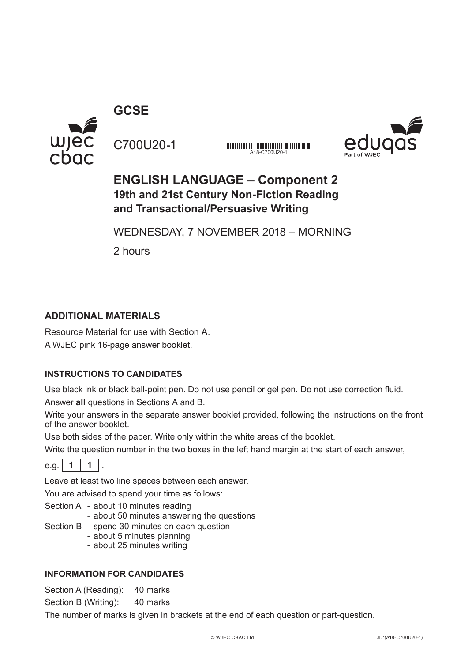

**GCSE**

C700U20-1

*UT IT IT IS AN OUT THE THE REAL PROPERTY OF THE CALL AND THE REAL PROPERTY. AND A REAL PROPERTY OF THE REAL PROPERTY OF THE REAL PROPERTY OF THE REAL PROPERTY OF THE REAL PROPERTY OF TH* A18-C700U20



## **ENGLISH LANGUAGE – Component 2 19th and 21st Century Non-Fiction Reading and Transactional/Persuasive Writing**

WEDNESDAY, 7 NOVEMBER 2018 – MORNING

2 hours

## **ADDITIONAL MATERIALS**

Resource Material for use with Section A. A WJEC pink 16-page answer booklet.

## **INSTRUCTIONS TO CANDIDATES**

Use black ink or black ball-point pen. Do not use pencil or gel pen. Do not use correction fluid.

Answer **all** questions in Sections A and B.

Write your answers in the separate answer booklet provided, following the instructions on the front of the answer booklet.

Use both sides of the paper. Write only within the white areas of the booklet.

Write the question number in the two boxes in the left hand margin at the start of each answer,



Leave at least two line spaces between each answer.

You are advised to spend your time as follows:

- Section A about 10 minutes reading
	- about 50 minutes answering the questions
- Section B spend 30 minutes on each question
	- about 5 minutes planning
	- about 25 minutes writing

### **INFORMATION FOR CANDIDATES**

Section A (Reading): 40 marks

Section B (Writing): 40 marks

The number of marks is given in brackets at the end of each question or part-question.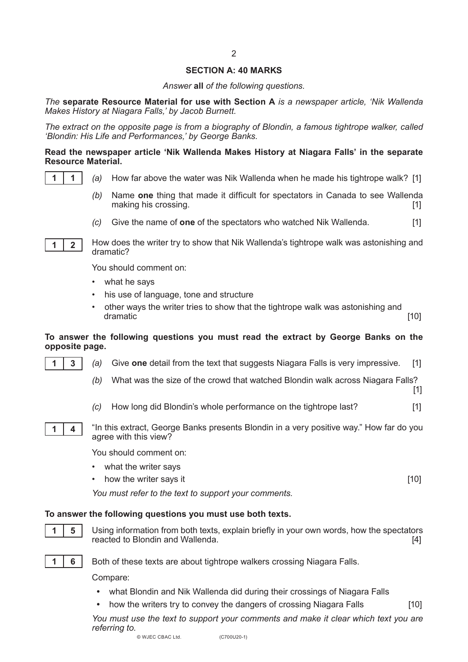#### **SECTION A: 40 MARKS**

 $\overline{2}$ 

*Answer* **all** *of the following questions.*

*The* **separate Resource Material for use with Section A** *is a newspaper article, 'Nik Wallenda Makes History at Niagara Falls,' by Jacob Burnett.*

*The extract on the opposite page is from a biography of Blondin, a famous tightrope walker, called 'Blondin: His Life and Performances,' by George Banks.*

#### **Read the newspaper article 'Nik Wallenda Makes History at Niagara Falls' in the separate Resource Material.**



- *(a)* How far above the water was Nik Wallenda when he made his tightrope walk? [1]
- *(b)* Name **one** thing that made it difficult for spectators in Canada to see Wallenda making his crossing. [1] **intervalsed intervalsed intervalsed intervalsed intervalsed intervalsed intervalsed intervalsed intervalsed intervalsed intervalsed intervalsed intervalsed intervalsed**
- *(c)* Give the name of **one** of the spectators who watched Nik Wallenda. [1]



How does the writer try to show that Nik Wallenda's tightrope walk was astonishing and dramatic?

You should comment on:

- what he says
- his use of language, tone and structure
- other ways the writer tries to show that the tightrope walk was astonishing and dramatic. dramatic [10]

#### **To answer the following questions you must read the extract by George Banks on the opposite page.**

- *(a)* Give **one** detail from the text that suggests Niagara Falls is very impressive. [1]
- *(b)* What was the size of the crowd that watched Blondin walk across Niagara Falls?
- *(c)* How long did Blondin's whole performance on the tightrope last? [1]



**1 3**

"In this extract, George Banks presents Blondin in a very positive way." How far do you agree with this view?

You should comment on:

- what the writer says
- how the writer says it **interval** the same of the same of the same of the same of the same of the same of the same of the same of the same of the same of the same of the same of the same of the same of the same of the sa

[1]

*You must refer to the text to support your comments.*

#### **To answer the following questions you must use both texts.**



Using information from both texts, explain briefly in your own words, how the spectators reacted to Blondin and Wallenda. [4]



Both of these texts are about tightrope walkers crossing Niagara Falls.

Compare:

- **•** what Blondin and Nik Wallenda did during their crossings of Niagara Falls
- how the writers try to convey the dangers of crossing Niagara Falls [10]

*You must use the text to support your comments and make it clear which text you are referring to.*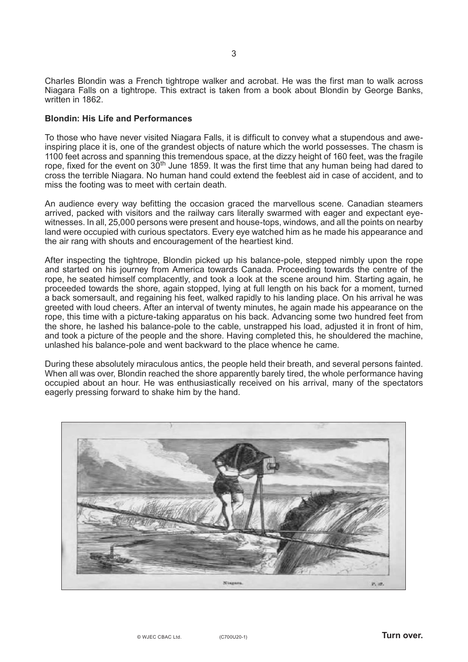Charles Blondin was a French tightrope walker and acrobat. He was the first man to walk across Niagara Falls on a tightrope. This extract is taken from a book about Blondin by George Banks, written in 1862.

#### **Blondin: His Life and Performances**

To those who have never visited Niagara Falls, it is difficult to convey what a stupendous and aweinspiring place it is, one of the grandest objects of nature which the world possesses. The chasm is 1100 feet across and spanning this tremendous space, at the dizzy height of 160 feet, was the fragile rope. fixed for the event on 30<sup>th</sup> June 1859. It was the first time that any human being had dared to cross the terrible Niagara. No human hand could extend the feeblest aid in case of accident, and to miss the footing was to meet with certain death.

An audience every way befitting the occasion graced the marvellous scene. Canadian steamers arrived, packed with visitors and the railway cars literally swarmed with eager and expectant eyewitnesses. In all, 25,000 persons were present and house-tops, windows, and all the points on nearby land were occupied with curious spectators. Every eye watched him as he made his appearance and the air rang with shouts and encouragement of the heartiest kind.

After inspecting the tightrope, Blondin picked up his balance-pole, stepped nimbly upon the rope and started on his journey from America towards Canada. Proceeding towards the centre of the rope, he seated himself complacently, and took a look at the scene around him. Starting again, he proceeded towards the shore, again stopped, lying at full length on his back for a moment, turned a back somersault, and regaining his feet, walked rapidly to his landing place. On his arrival he was greeted with loud cheers. After an interval of twenty minutes, he again made his appearance on the rope, this time with a picture-taking apparatus on his back. Advancing some two hundred feet from the shore, he lashed his balance-pole to the cable, unstrapped his load, adjusted it in front of him, and took a picture of the people and the shore. Having completed this, he shouldered the machine, unlashed his balance-pole and went backward to the place whence he came.

During these absolutely miraculous antics, the people held their breath, and several persons fainted. When all was over, Blondin reached the shore apparently barely tired, the whole performance having occupied about an hour. He was enthusiastically received on his arrival, many of the spectators eagerly pressing forward to shake him by the hand.

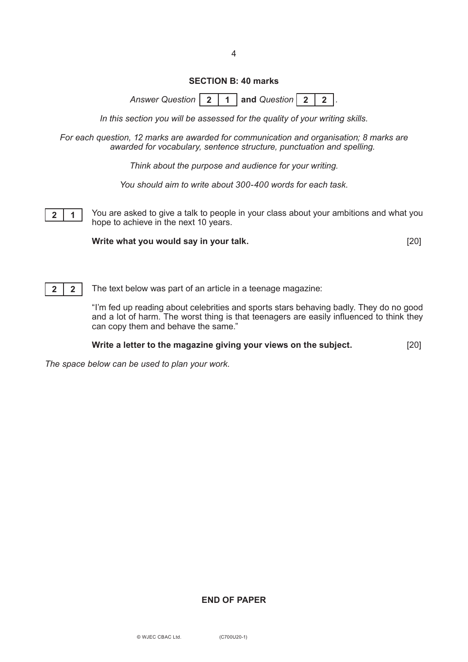#### **SECTION B: 40 marks**

*Answer Question* **| 2 | 1 | and Question | 2 | 2 | .** 

*In this section you will be assessed for the quality of your writing skills.*

*For each question, 12 marks are awarded for communication and organisation; 8 marks are awarded for vocabulary, sentence structure, punctuation and spelling.*

*Think about the purpose and audience for your writing.*

*You should aim to write about 300-400 words for each task.*

You are asked to give a talk to people in your class about your ambitions and what you hope to achieve in the next 10 years. **2** | **1** 

**Write what you would say in your talk.** [20]



The text below was part of an article in a teenage magazine:

"I'm fed up reading about celebrities and sports stars behaving badly. They do no good and a lot of harm. The worst thing is that teenagers are easily influenced to think they can copy them and behave the same."

**Write a letter to the magazine giving your views on the subject.** [20]

*The space below can be used to plan your work.*

## **END OF PAPER**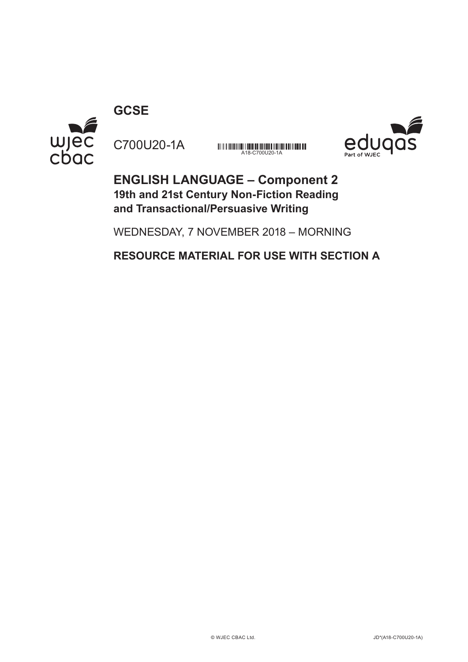wjec<br>cbac C700U20-1A

**GCSE**

A18-C700U20-1A



**ENGLISH LANGUAGE – Component 2 19th and 21st Century Non-Fiction Reading and Transactional/Persuasive Writing**

WEDNESDAY, 7 NOVEMBER 2018 – MORNING

**RESOURCE MATERIAL FOR USE WITH SECTION A**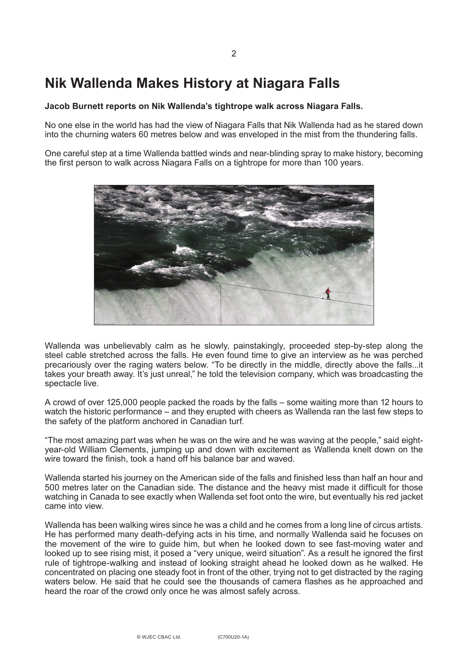# **Nik Wallenda Makes History at Niagara Falls**

#### **Jacob Burnett reports on Nik Wallenda's tightrope walk across Niagara Falls.**

No one else in the world has had the view of Niagara Falls that Nik Wallenda had as he stared down into the churning waters 60 metres below and was enveloped in the mist from the thundering falls.

One careful step at a time Wallenda battled winds and near-blinding spray to make history, becoming the first person to walk across Niagara Falls on a tightrope for more than 100 years.



Wallenda was unbelievably calm as he slowly, painstakingly, proceeded step-by-step along the steel cable stretched across the falls. He even found time to give an interview as he was perched precariously over the raging waters below. "To be directly in the middle, directly above the falls...it takes your breath away. It's just unreal," he told the television company, which was broadcasting the spectacle live.

A crowd of over 125,000 people packed the roads by the falls – some waiting more than 12 hours to watch the historic performance – and they erupted with cheers as Wallenda ran the last few steps to the safety of the platform anchored in Canadian turf.

"The most amazing part was when he was on the wire and he was waving at the people," said eightyear-old William Clements, jumping up and down with excitement as Wallenda knelt down on the wire toward the finish, took a hand off his balance bar and waved.

Wallenda started his journey on the American side of the falls and finished less than half an hour and 500 metres later on the Canadian side. The distance and the heavy mist made it difficult for those watching in Canada to see exactly when Wallenda set foot onto the wire, but eventually his red jacket came into view.

Wallenda has been walking wires since he was a child and he comes from a long line of circus artists. He has performed many death-defying acts in his time, and normally Wallenda said he focuses on the movement of the wire to guide him, but when he looked down to see fast-moving water and looked up to see rising mist, it posed a "very unique, weird situation". As a result he ignored the first rule of tightrope-walking and instead of looking straight ahead he looked down as he walked. He concentrated on placing one steady foot in front of the other, trying not to get distracted by the raging waters below. He said that he could see the thousands of camera flashes as he approached and heard the roar of the crowd only once he was almost safely across.